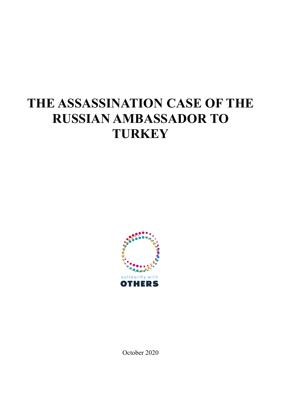# **THE ASSASSINATION CASE OF THE RUSSIAN AMBASSADOR TO TURKEY**



October 2020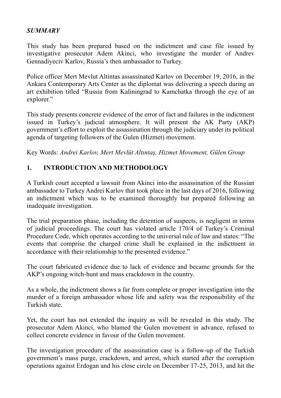# *SUMMARY*

This study has been prepared based on the indictment and case file issued by investigative prosecutor Adem Akinci, who investigate the murder of Andrev Gennadiyeciv Karlov, Russia's then ambassador to Turkey.

Police officer Mert Mevlut Altintas assassinated Karlov on December 19, 2016, in the Ankara Contemporary Arts Center as the diplomat was delivering a speech during an art exhibition titled "Russia from Kaliningrad to Kamchatka through the eye of an explorer."

This study presents concrete evidence of the error of fact and failures in the indictment issued in Turkey's judicial atmosphere. It will present the AK Party (AKP) government's effort to exploit the assassination through the judiciary under its political agenda of targeting followers of the Gulen (Hizmet) movement.

Key Words: *Andrei Karlov, Mert Mevlüt Altıntaş, Hizmet Movement, Gülen Group*

# **1. INTRODUCTION AND METHODOLOGY**

A Turkish court accepted a lawsuit from Akinci into the assassination of the Russian ambassador to Turkey Andrei Karlov that took place in the last days of 2016, following an indictment which was to be examined thoroughly but prepared following an inadequate investigation.

The trial preparation phase, including the detention of suspects, is negligent in terms of judicial proceedings. The court has violated article 170/4 of Turkey's Criminal Procedure Code, which operates according to the universal rule of law and states: "The events that comprise the charged crime shall be explained in the indictment in accordance with their relationship to the presented evidence."

The court fabricated evidence due to lack of evidence and became grounds for the AKP's ongoing witch-hunt and mass crackdown in the country.

As a whole, the indictment shows a far from complete or proper investigation into the murder of a foreign ambassador whose life and safety was the responsibility of the Turkish state.

Yet, the court has not extended the inquiry as will be revealed in this study. The prosecutor Adem Akinci, who blamed the Gulen movement in advance, refused to collect concrete evidence in favour of the Gulen movement.

The investigation procedure of the assassination case is a follow-up of the Turkish government's mass purge, crackdown, and arrest, which started after the corruption operations against Erdogan and his close circle on December 17-25, 2013, and hit the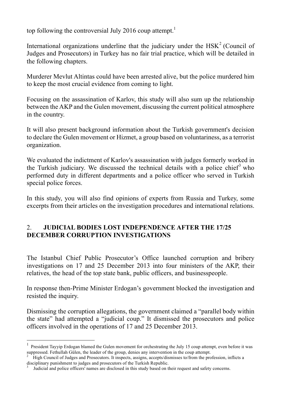top following the controversial July 2016 coup attempt.<sup>1</sup>

International organizations underline that the judiciary under the  $HSK<sup>2</sup>$  (Council of Judges and Prosecutors) in Turkey has no fair trial practice, which will be detailed in the following chapters.

Murderer Mevlut Altintas could have been arrested alive, but the police murdered him to keep the most crucial evidence from coming to light.

Focusing on the assassination of Karlov, this study will also sum up the relationship between the AKP and the Gulen movement, discussing the current political atmosphere in the country.

It will also present background information about the Turkish government's decision to declare the Gulen movement or Hizmet, a group based on voluntariness, as a terrorist organization.

We evaluated the indictment of Karlov's assassination with judges formerly worked in the Turkish judiciary. We discussed the technical details with a police chief<sup>3</sup> who performed duty in different departments and a police officer who served in Turkish special police forces.

In this study, you will also find opinions of experts from Russia and Turkey, some excerpts from their articles on the investigation procedures and international relations.

## 2. **JUDICIAL BODIES LOST INDEPENDENCE AFTER THE 17/25 DECEMBER CORRUPTION INVESTIGATIONS**

The Istanbul Chief Public Prosecutor's Office launched corruption and bribery investigations on 17 and 25 December 2013 into four ministers of the AKP, their relatives, the head of the top state bank, public officers, and businesspeople.

In response then-Prime Minister Erdogan's government blocked the investigation and resisted the inquiry.

Dismissing the corruption allegations, the government claimed a "parallel body within the state" had attempted a "judicial coup." It dismissed the prosecutors and police officers involved in the operations of 17 and 25 December 2013.

 $\frac{1}{1}$  President Tayyip Erdogan blamed the Gulen movement for orchestrating the July 15 coup attempt, even before it was suppressed. Fethullah Gülen, the leader of the group, denies any intervention in the coup attempt.

<sup>2</sup> High Council of Judges and Prosecutors. It inspects, assigns, accepts/dismisses to/from the profession, inflicts a disciplinary punishment to judges and prosecutors of the Turkish Republic.

<sup>3</sup> Judicial and police officers' names are disclosed in this study based on their request and safety concerns.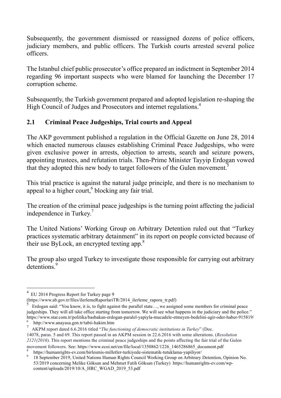Subsequently, the government dismissed or reassigned dozens of police officers, judiciary members, and public officers. The Turkish courts arrested several police officers.

The Istanbul chief public prosecutor's office prepared an indictment in September 2014 regarding 96 important suspects who were blamed for launching the December 17 corruption scheme.

Subsequently, the Turkish government prepared and adopted legislation re-shaping the High Council of Judges and Prosecutors and internet regulations.<sup>4</sup>

# **2.1 Criminal Peace Judgeships, Trial courts and Appeal**

The AKP government published a regulation in the Official Gazette on June 28, 2014 which enacted numerous clauses establishing Criminal Peace Judgeships, who were given exclusive power in arrests, objection to arrests, search and seizure powers, appointing trustees, and refutation trials. Then-Prime Minister Tayyip Erdogan vowed that they adopted this new body to target followers of the Gulen movement.<sup>5</sup>

This trial practice is against the natural judge principle, and there is no mechanism to appeal to a higher court, $6$  blocking any fair trial.

The creation of the criminal peace judgeships is the turning point affecting the judicial independence in Turkey.<sup>7</sup>

The United Nations' Working Group on Arbitrary Detention ruled out that "Turkey practices systematic arbitrary detainment" in its report on people convicted because of their use ByLock, an encrypted texting app.<sup>8</sup>

The group also urged Turkey to investigate those responsible for carrying out arbitrary detentions.<sup>9</sup>

 <sup>4</sup> EU 2014 Progress Report for Turkey page 9

<sup>(</sup>https://www.ab.gov.tr/files/ilerlemeRaporlariTR/2014\_ilerleme\_raporu\_tr.pdf) 5

Erdogan said: "You know, it is, to fight against the parallel state…, we assigned some members for criminal peace judgeships. They will all take office starting from tomorrow. We will see what happens in the judiciary and the police." https://www.star.com.tr/politika/basbakan-erdogan-paralel-yapiyla-mucadele-etmeyen-bedelini-agir-oder-haber-915819/ <sup>6</sup> http://www.anayasa.gen.tr/tabii-hakim.htm

<sup>7</sup> AKPM report dated 6.6.2016 titled "*The functioning of democratic institutions in Turkey*" (Doc.

<sup>14078,</sup> paras. 5 and 69. This report passed in an AKPM session in 22.6.2016 with some alterations. (*Resolution 2121(2016*). This report mentions the criminal peace judgeships and the points affecting the fair trial of the Gulen movement followers. See: https://www.ecoi.net/en/file/local/1350862/1226\_1465286865\_document.pdf

https://humanrights-ev.com/birlesmis-milletler-turkiyede-sistematik-tutuklama-yapiliyor/<br>18 September 2019, United Nations Human Rights Council Working Group on Arbitrary Detention, Opinion No. 53/2019 concerning Melike Göksan and Mehmet Fatih Göksan (Turkey) https://humanrights-ev.com/wpcontent/uploads/2019/10/A\_HRC\_WGAD\_2019\_53.pdf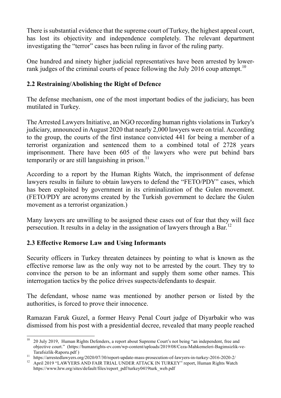There is substantial evidence that the supreme court of Turkey, the highest appeal court, has lost its objectivity and independence completely. The relevant department investigating the "terror" cases has been ruling in favor of the ruling party.

One hundred and ninety higher judicial representatives have been arrested by lowerrank judges of the criminal courts of peace following the July 2016 coup attempt.<sup>10</sup>

# **2.2 Restraining/Abolishing the Right of Defence**

The defense mechanism, one of the most important bodies of the judiciary, has been mutilated in Turkey.

The Arrested Lawyers Initiative, an NGO recording human rights violations in Turkey's judiciary, announced in August 2020 that nearly 2,000 lawyers were on trial. According to the group, the courts of the first instance convicted 441 for being a member of a terrorist organization and sentenced them to a combined total of 2728 years imprisonment. There have been 605 of the lawyers who were put behind bars temporarily or are still languishing in prison. $^{11}$ 

According to a report by the Human Rights Watch, the imprisonment of defense lawyers results in failure to obtain lawyers to defend the "FETO/PDY" cases, which has been exploited by government in its criminalization of the Gulen movement. (FETO/PDY are acronyms created by the Turkish government to declare the Gulen movement as a terrorist organization.)

Many lawyers are unwilling to be assigned these cases out of fear that they will face persecution. It results in a delay in the assignation of lawyers through a Bar.<sup>12</sup>

# **2.3 Effective Remorse Law and Using Informants**

Security officers in Turkey threaten detainees by pointing to what is known as the effective remorse law as the only way not to be arrested by the court. They try to convince the person to be an informant and supply them some other names. This interrogation tactics by the police drives suspects/defendants to despair.

The defendant, whose name was mentioned by another person or listed by the authorities, is forced to prove their innocence.

Ramazan Faruk Guzel, a former Heavy Penal Court judge of Diyarbakir who was dismissed from his post with a presidential decree, revealed that many people reached

<sup>&</sup>lt;sup>10</sup> 20 July 2019, Human Rights Defenders, a report about Supreme Court's not being "an independent, free and objective court." (https://humanrights-ev.com/wp-content/uploads/2019/08/Ceza-Mahkemeleri-Bagimsizlik-ve-

Tarafsizlik-Raporu.pdf )<br>
11 https://arrestedlawyers.org/2020/07/30/report-update-mass-prosecution-of-lawyers-in-turkey-2016-2020-2/<br>
12 April 2019 "LAWYERS AND FAIR TRIAL UNDER ATTACK IN TURKEY" report, Human Rights Watch

https://www.hrw.org/sites/default/files/report\_pdf/turkey0419turk\_web.pdf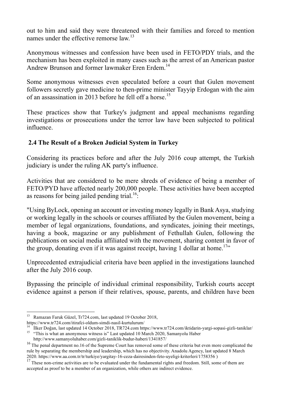out to him and said they were threatened with their families and forced to mention names under the effective remorse  $\langle \text{law} \rangle^{13}$ 

Anonymous witnesses and confession have been used in FETO/PDY trials, and the mechanism has been exploited in many cases such as the arrest of an American pastor Andrew Brunson and former lawmaker Eren Erdem.<sup>14</sup>

Some anonymous witnesses even speculated before a court that Gulen movement followers secretly gave medicine to then-prime minister Tayyip Erdogan with the aim of an assassination in 2013 before he fell off a horse.<sup>15</sup>

These practices show that Turkey's judgment and appeal mechanisms regarding investigations or prosecutions under the terror law have been subjected to political influence.

# **2.4 The Result of a Broken Judicial System in Turkey**

Considering its practices before and after the July 2016 coup attempt, the Turkish judiciary is under the ruling AK party's influence.

Activities that are considered to be mere shreds of evidence of being a member of FETO/PYD have affected nearly 200,000 people. These activities have been accepted as reasons for being jailed pending trial.<sup>16:1</sup>

"Using ByLock, opening an account or investing money legally in Bank Asya, studying or working legally in the schools or courses affiliated by the Gulen movement, being a member of legal organizations, foundations, and syndicates, joining their meetings, having a book, magazine or any publishment of Fethullah Gulen, following the publications on social media affiliated with the movement, sharing content in favor of the group, donating even if it was against receipt, having 1 dollar at home.<sup>17</sup>"

Unprecedented extrajudicial criteria have been applied in the investigations launched after the July 2016 coup.

Bypassing the principle of individual criminal responsibility, Turkish courts accept evidence against a person if their relatives, spouse, parents, and children have been

 <sup>13</sup> Ramazan Faruk Güzel, Tr724.com, last updated 19 October 2018,

https://www.tr724.com/itirafci-oldum-simdi-nasil-kurtulurum/<br><sup>14</sup> İlker Doğan, last updated 14 October 2018, TR724.com https://www.tr724.com/iktidarin-yargi-sopasi-gizli-taniklar/<br><sup>15</sup> "This is what an anonymous witness is

http://www.samanyoluhaber.com/gizli-taniklik-budur-haberi/1341857/

<sup>&</sup>lt;sup>16</sup> The penal department no.16 of the Supreme Court has removed some of these criteria but even more complicated the rule by separating the membership and leadership, which has no objectivity. Anadolu Agency, last updated 8 March 2020. https://www.aa.com.tr/tr/turkiye/yargitay-16-ceza-dairesinden-feto-uyeligi-kriterleri/1758356 )

<sup>&</sup>lt;sup>17</sup> These non-crime activities are to be evaluated under the fundamental rights and freedom. Still, some of them are accepted as proof to be a member of an organization, while others are indirect evidence.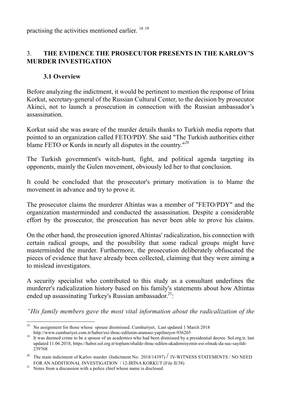practising the activities mentioned earlier. <sup>18 19</sup>

# 3. **THE EVIDENCE THE PROSECUTOR PRESENTS IN THE KARLOV'S MURDER INVESTIGATION**

## **3.1 Overview**

Before analyzing the indictment, it would be pertinent to mention the response of Irina Korkut, secretary-general of the Russian Cultural Center, to the decision by prosecutor Akinci, not to launch a prosecution in connection with the Russian ambassador's assassination.

Korkut said she was aware of the murder details thanks to Turkish media reports that pointed to an organization called FETO/PDY. She said "The Turkish authorities either blame FETO or Kurds in nearly all disputes in the country."*<sup>20</sup>*

The Turkish government's witch-hunt, fight, and political agenda targeting its opponents, mainly the Gulen movement, obviously led her to that conclusion.

It could be concluded that the prosecutor's primary motivation is to blame the movement in advance and try to prove it.

The prosecutor claims the murderer Altintas was a member of "FETO/PDY" and the organization masterminded and conducted the assassination. Despite a considerable effort by the prosecutor, the prosecution has never been able to prove his claims.

On the other hand, the prosecution ignored Altintas' radicalization, his connection with certain radical groups, and the possibility that some radical groups might have masterminded the murder. Furthermore, the prosecution deliberately obfuscated the pieces of evidence that have already been collected, claiming that they were aiming a to mislead investigators.

A security specialist who contributed to this study as a consultant underlines the murderer's radicalization history based on his family's statements about how Altintas ended up assassinating Turkey's Russian ambassador.<sup>21</sup>:

*"His family members gave the most vital information about the radicalization of the* 

<sup>&</sup>lt;sup>18</sup> No assignment for those whose spouse dissmissed. Cumhuriyet, Last updated 1 March 2018 http://www.cumhuriyet.com.tr/haber/esi-ihrac-edilenin-atamasi-yapilmiyor-936265

<sup>&</sup>lt;sup>19</sup> It was deemed crime to be a spouse of an academics who had been dismissed by a presidential decree. Sol.org.tr, last updated 11.06.2018, https://haber.sol.org.tr/toplum/ohalde-ihrac-edilen-akademisyenin-esi-olmak-da-suc-sayildi-239768

<sup>&</sup>lt;sup>20</sup> The main indictment of Karlov murder (Indictment No: 2018/14397) / IV-WITNESS STATEMENTS / NO NEED FOR AN ADDITIONAL INVESTIGATION / 12-IRINA KORKUT (File II/38) Notes from a discussion with a police chief whose name is disclosed.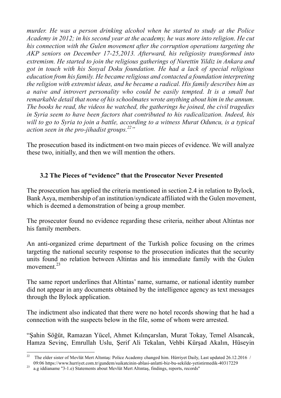*murder. He was a person drinking alcohol when he started to study at the Police Academy in 2012; in his second year at the academy, he was more into religion. He cut his connection with the Gulen movement after the corruption operations targeting the AKP seniors on December 17-25,2013. Afterward, his religiosity transformed into extremism. He started to join the religious gatherings of Nurettin Yildiz in Ankara and got in touch with his Sosyal Doku foundation. He had a lack of special religious education from his family. He became religious and contacted a foundation interpreting the religion with extremist ideas, and he became a radical. His family describes him as a naive and introvert personality who could be easily tempted. It is a small but remarkable detail that none of his schoolmates wrote anything about him in the annum. The books he read, the videos he watched, the gatherings he joined, the civil tragedies in Syria seem to have been factors that contributed to his radicalization. Indeed, his will to go to Syria to join a battle, according to a witness Murat Oduncu, is a typical action seen in the pro-jihadist groups. 22"*

The prosecution based its indictment on two main pieces of evidence. We will analyze these two, initially, and then we will mention the others.

# **3.2 The Pieces of "evidence" that the Prosecutor Never Presented**

The prosecution has applied the criteria mentioned in section 2.4 in relation to Bylock. Bank Asya, membership of an institution/syndicate affiliated with the Gulen movement, which is deemed a demonstration of being a group member.

The prosecutor found no evidence regarding these criteria, neither about Altintas nor his family members.

An anti-organized crime department of the Turkish police focusing on the crimes targeting the national security response to the prosecution indicates that the security units found no relation between Altintas and his immediate family with the Gulen movement. $^{23}$ 

The same report underlines that Altintas' name, surname, or national identity number did not appear in any documents obtained by the intelligence agency as text messages through the Bylock application.

The indictment also indicated that there were no hotel records showing that he had a connection with the suspects below in the file, some of whom were arrested.

"Şahin Söğüt, Ramazan Yücel, Ahmet Kılınçarslan, Murat Tokay, Temel Alsancak, Hamza Sevinç, Emrullah Uslu, Şerif Ali Tekalan, Vehbi Kürşad Akalın, Hüseyin

<sup>&</sup>lt;sup>22</sup> The elder sister of Mevlüt Mert Altıntaş: Police Academy changed him. Hürriyet Daily, Last updated 26.12.2016 /

<sup>09:06</sup> https://www.hurriyet.com.tr/gundem/suikatcinin-ablasi-anlatti-biz-bu-sekilde-yetistirmedik-40317229 a.g iddianame ''3-1.e) Statements about Mevlüt Mert Altıntaş, findings, reports, records''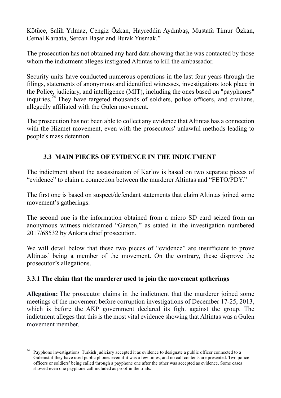Kötüce, Salih Yılmaz, Cengiz Özkan, Hayreddin Aydınbaş, Mustafa Timur Özkan, Cemal Karaata, Sercan Başar and Burak Yusmak."

The prosecution has not obtained any hard data showing that he was contacted by those whom the indictment alleges instigated Altintas to kill the ambassador.

Security units have conducted numerous operations in the last four years through the filings, statements of anonymous and identified witnesses, investigations took place in the Police, judiciary, and intelligence (MIT), including the ones based on "payphones" inquiries.24 They have targeted thousands of soldiers, police officers, and civilians, allegedly affiliated with the Gulen movement.

The prosecution has not been able to collect any evidence that Altintas has a connection with the Hizmet movement, even with the prosecutors' unlawful methods leading to people's mass detention.

## **3.3 MAIN PIECES OF EVIDENCE IN THE INDICTMENT**

The indictment about the assassination of Karlov is based on two separate pieces of "evidence" to claim a connection between the murderer Altintas and "FETO/PDY."

The first one is based on suspect/defendant statements that claim Altintas joined some movement's gatherings.

The second one is the information obtained from a micro SD card seized from an anonymous witness nicknamed "Garson," as stated in the investigation numbered 2017/68532 by Ankara chief prosecution.

We will detail below that these two pieces of "evidence" are insufficient to prove Altintas' being a member of the movement. On the contrary, these disprove the prosecutor's allegations.

#### **3.3.1 The claim that the murderer used to join the movement gatherings**

**Allegation:** The prosecutor claims in the indictment that the murderer joined some meetings of the movement before corruption investigations of December 17-25, 2013, which is before the AKP government declared its fight against the group. The indictment alleges that this is the most vital evidence showing that Altintas was a Gulen movement member.

Payphone investigations. Turkish judiciary accepted it as evidence to designate a public officer connected to a Gulenist if they have used public phones even if it was a few times, and no call contents are presented. Two police officers or soldiers' being called through a payphone one after the other was accepted as evidence. Some cases showed even one payphone call included as proof in the trials.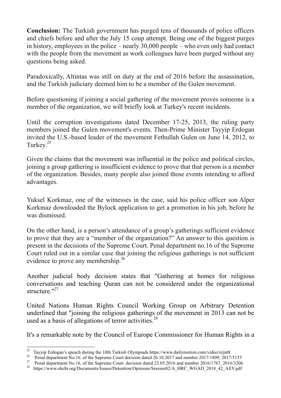**Conclusion:** The Turkish government has purged tens of thousands of police officers and chiefs before and after the July 15 coup attempt. Being one of the biggest purges in history, employees in the police – nearly 30,000 people – who even only had contact with the people from the movement as work colleagues have been purged without any questions being asked.

Paradoxically, Altintas was still on duty at the end of 2016 before the assassination, and the Turkish judiciary deemed him to be a member of the Gulen movement.

Before questioning if joining a social gathering of the movement proves someone is a member of the organization, we will briefly look at Turkey's recent incidents.

Until the corruption investigations dated December 17-25, 2013, the ruling party members joined the Gulen movement's events. Then-Prime Minister Tayyip Erdogan invited the U.S.-based leader of the movement Fethullah Gulen on June 14, 2012, to Turkey.<sup>25</sup>

Given the claims that the movement was influential in the police and political circles, joining a group gathering is insufficient evidence to prove that that person is a member of the organization. Besides, many people also joined those events intending to afford advantages.

Yuksel Korkmaz, one of the witnesses in the case, said his police officer son Alper Korkmaz downloaded the Bylock application to get a promotion in his job, before he was dismissed.

On the other hand, is a person's attendance of a group's gatherings sufficient evidence to prove that they are a "member of the organization?" An answer to this question is present in the decisions of the Supreme Court. Penal department no.16 of the Supreme Court ruled out in a similar case that joining the religious gatherings is not sufficient evidence to prove any membership.<sup>26</sup>

Another judicial body decision states that "Gathering at homes for religious conversations and teaching Quran can not be considered under the organizational structure. $127$ 

United Nations Human Rights Council Working Group on Arbitrary Detention underlined that "joining the religious gatherings of the movement in 2013 can not be used as a basis of allegations of terror activities.<sup>28</sup>

It's a remarkable note by the Council of Europe Commissioner for Human Rights in a

<sup>&</sup>lt;sup>25</sup> Tayyip Erdogan's speach during the 10th Turkish Olympiads https://www.dailymotion.com/video/xrjnt8<br><sup>26</sup> Penal department No.16. of the Supreme Court decision dated 26.10.2017 and number 2017/1809, 2017/5155<br><sup>27</sup> Pena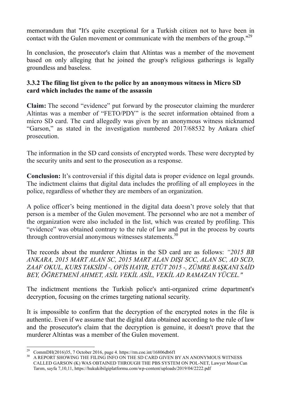memorandum that "It's quite exceptional for a Turkish citizen not to have been in contact with the Gulen movement or communicate with the members of the group."<sup>29</sup>

In conclusion, the prosecutor's claim that Altintas was a member of the movement based on only alleging that he joined the group's religious gatherings is legally groundless and baseless.

### **3.3.2 The filing list given to the police by an anonymous witness in Micro SD card which includes the name of the assassin**

**Claim:** The second "evidence" put forward by the prosecutor claiming the murderer Altintas was a member of "FETO/PDY" is the secret information obtained from a micro SD card. The card allegedly was given by an anonymous witness nicknamed "Garson," as stated in the investigation numbered 2017/68532 by Ankara chief prosecution.

The information in the SD card consists of encrypted words. These were decrypted by the security units and sent to the prosecution as a response.

**Conclusion:** It's controversial if this digital data is proper evidence on legal grounds. The indictment claims that digital data includes the profiling of all employees in the police, regardless of whether they are members of an organization.

A police officer's being mentioned in the digital data doesn't prove solely that that person is a member of the Gulen movement. The personnel who are not a member of the organization were also included in the list, which was created by profiling. This "evidence" was obtained contrary to the rule of law and put in the process by courts through controversial anonymous witnesses statements.<sup>30</sup>

The records about the murderer Altintas in the SD card are as follows: *"2015 BB ANKARA, 2015 MART ALAN SC, 2015 MART ALAN DIŞI SCC, ALAN SC, AD SCD, ZAAF OKUL, KURS TAKSİDİ -, OFİS HAYIR, ETÜT 2015 -, ZÜMRE BAŞKANI SAİD BEY, ÖĞRETMENİ AHMET, ASİL VEKİL ASİL, VEKİL AD RAMAZAN YÜCEL."*

The indictment mentions the Turkish police's anti-organized crime department's decryption, focusing on the crimes targeting national security.

It is impossible to confirm that the decryption of the encrypted notes in the file is authentic. Even if we assume that the digital data obtained according to the rule of law and the prosecutor's claim that the decryption is genuine, it doesn't prove that the murderer Altintas was a member of the Gulen movement.

<sup>&</sup>lt;sup>29</sup> CommDH(2016)35, 7 October 2016, page 4. https://rm.coe.int/16806db6f1<br><sup>30</sup> A REPORT SHOWING THE FILING INFO ON THE SD CARD GIVEN BY AN ANONYMOUS WITNESS CALLED GARSON (K) WAS OBTAINED THROUGH THE PBS SYSTEM ON POL-NET, Lawyer Mesut Can Tarım, sayfa 7,10,11, https://hukukibilgiplatformu.com/wp-content/uploads/2019/04/2222.pdf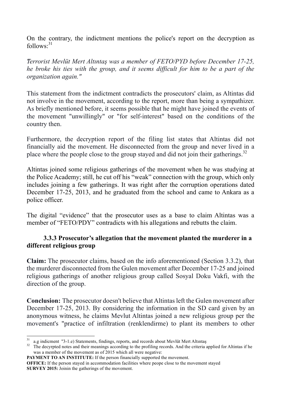On the contrary, the indictment mentions the police's report on the decryption as follows:<sup>31</sup>

*"Terrorist Mevlüt Mert Altıntaş was a member of FETO/PYD before December 17-25, he broke his ties with the group, and it seems difficult for him to be a part of the organization again."*

This statement from the indictment contradicts the prosecutors' claim, as Altintas did not involve in the movement, according to the report, more than being a sympathizer. As briefly mentioned before, it seems possible that he might have joined the events of the movement "unwillingly" or "for self-interest" based on the conditions of the country then.

Furthermore, the decryption report of the filing list states that Altintas did not financially aid the movement. He disconnected from the group and never lived in a place where the people close to the group stayed and did not join their gatherings.<sup>32</sup>

Altintas joined some religious gatherings of the movement when he was studying at the Police Academy; still, he cut off his "weak" connection with the group, which only includes joining a few gatherings. It was right after the corruption operations dated December 17-25, 2013, and he graduated from the school and came to Ankara as a police officer.

The digital "evidence" that the prosecutor uses as a base to claim Altintas was a member of "FETO/PDY" contradicts with his allegations and rebutts the claim.

#### **3.3.3 Prosecutor's allegation that the movement planted the murderer in a different religious group**

**Claim:** The prosecutor claims, based on the info aforementioned (Section 3.3.2), that the murderer disconnected from the Gulen movement after December 17-25 and joined religious gatherings of another religious group called Sosyal Doku Vakfi, with the direction of the group.

**Conclusion:** The prosecutor doesn't believe that Altintas left the Gulen movement after December 17-25, 2013. By considering the information in the SD card given by an anonymous witness, he claims Mevlut Altintas joined a new religious group per the movement's "practice of infiltration (renklendirme) to plant its members to other

**PAYMENT TO AN INSTITUTE:** If the person financially supported the movement.

 $\frac{31}{32}$  a.g indicment ''3-1.e) Statements, findings, reports, and records about Mevlüt Mert Altıntaş  $\frac{32}{32}$  The decyrpted notes and their meanings according to the profiling records. And the criteria applied for was a member of the movement as of 2015 which all were negative:

**OFFICE:** If the person stayed in accommodation facilities where peope close to the movement stayed **SURVEY 2015:** Joinin the gatherings of the movement.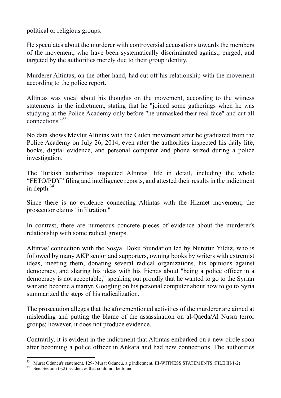political or religious groups.

He speculates about the murderer with controversial accusations towards the members of the movement, who have been systematically discriminated against, purged, and targeted by the authorities merely due to their group identity.

Murderer Altintas, on the other hand, had cut off his relationship with the movement according to the police report.

Altintas was vocal about his thoughts on the movement, according to the witness statements in the indictment, stating that he "joined some gatherings when he was studying at the Police Academy only before "he unmasked their real face" and cut all connections." 33

No data shows Mevlut Altintas with the Gulen movement after he graduated from the Police Academy on July 26, 2014, even after the authorities inspected his daily life, books, digital evidence, and personal computer and phone seized during a police investigation.

The Turkish authorities inspected Altintas' life in detail, including the whole "FETO/PDY" filing and intelligence reports, and attested their results in the indictment in depth. $34$ 

Since there is no evidence connecting Altintas with the Hizmet movement, the prosecutor claims "infiltration."

In contrast, there are numerous concrete pieces of evidence about the murderer's relationship with some radical groups.

Altintas' connection with the Sosyal Doku foundation led by Nurettin Yildiz, who is followed by many AKP senior and supporters, owning books by writers with extremist ideas, meeting them, donating several radical organizations, his opinions against democracy, and sharing his ideas with his friends about "being a police officer in a democracy is not acceptable," speaking out proudly that he wanted to go to the Syrian war and become a martyr, Googling on his personal computer about how to go to Syria summarized the steps of his radicalization.

The prosecution alleges that the aforementioned activities of the murderer are aimed at misleading and putting the blame of the assassination on al-Qaeda/Al Nusra terror groups; however, it does not produce evidence.

Contrarily, it is evident in the indictment that Altintas embarked on a new circle soon after becoming a police officer in Ankara and had new connections. The authorities

 $33$  Murat Oduncu's statement, 129- Murat Oduncu, a.g indictment, III-WITNESS STATEMENTS (FILE III/1-2) See. Section (3.2) Evidences that could not be found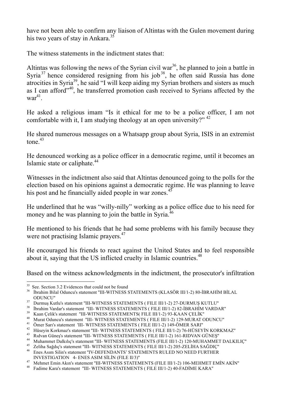have not been able to confirm any liaison of Altintas with the Gulen movement during his two years of stay in Ankara.<sup>35</sup>

The witness statements in the indictment states that:

Altintas was following the news of the Syrian civil war<sup>36</sup>, he planned to join a battle in Syria<sup>37</sup> hence considered resigning from his job<sup>38</sup>, he often said Russia has done atrocities in Syria<sup>39</sup>, he said "I will keep aiding my Syrian brothers and sisters as much as I can afford<sup>"40</sup>, he transferred promotion cash received to Syrians affected by the war 41.

He asked a religious imam "Is it ethical for me to be a police officer, I am not comfortable with it, I am studying theology at an open university?"  $42$ 

He shared numerous messages on a Whatsapp group about Syria, ISIS in an extremist tone $43$ 

He denounced working as a police officer in a democratic regime, until it becomes an Islamic state or caliphate.<sup>44</sup>

Witnesses in the indictment also said that Altintas denounced going to the polls for the election based on his opinions against a democratic regime. He was planning to leave his post and he financially aided people in war zones. $45$ 

He underlined that he was "willy-nilly" working as a police office due to his need for money and he was planning to join the battle in Syria.<sup>46</sup>

He mentioned to his friends that he had some problems with his family because they were not practising Islamic prayers.<sup>47</sup>

He encouraged his friends to react against the United States and to feel responsible about it, saying that the US inflicted cruelty in Islamic countries.<sup>48</sup>

Based on the witness acknowledgments in the indictment, the prosecutor's infiltration

<sup>&</sup>lt;sup>35</sup> See. Section 3.2 Evidences that could not be found<br><sup>36</sup> Ibrahim Bilal Oduncu's statement "III-WITNESS STATEMENTS (KLASÖR III/1-2) 80-IBRAHİM BİLAL

ODUNCU"<br>
17 Durmuş Kutlu's statement "III-WITNESS STATEMENTS (FILE III/1-2) 27-DURMUŞ KUTLU"<br>
18 İbrahim Vardar's statement "III-WITNESS STATEMENTS (FILE III/1-2) 82-İBRAHİM VARDAR"<br>
18 Kaan Çelik's statement "III-WITNESS

<sup>&</sup>lt;sup>47</sup> Mehmet Emin Akın's statement "III-WITNESS STATEMENTS (FILE III/1-2) 106-MEHMET EMİN AKİN" Fadime Kara's statement "III- WITNESS STATEMENTS (FILE III/1-2) 40-FADİME KARA"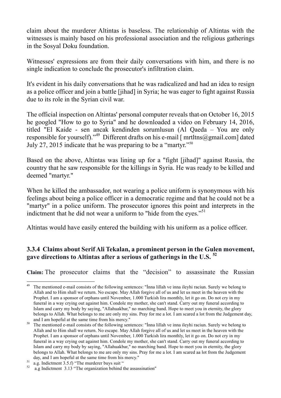claim about the murderer Altintas is baseless. The relationship of Altintas with the witnesses is mainly based on his professional association and the religious gatherings in the Sosyal Doku foundation.

Witnesses' expressions are from their daily conversations with him, and there is no single indication to conclude the prosecutor's infiltration claim.

It's evident in his daily conversations that he was radicalized and had an idea to resign as a police officer and join a battle [jihad] in Syria; he was eager to fight against Russia due to its role in the Syrian civil war.

The official inspection on Altintas' personal computer reveals that on October 16, 2015 he googled "How to go to Syria" and he downloaded a video on February 14, 2016, titled "El Kaide - sen ancak kendinden sorumlusun (Al Qaeda – You are only responsible for yourself)."<sup>49</sup> Different drafts on his e-mail  $\lceil \frac{\text{mrltns}}{\text{mrltns}} \rceil$  ated July 27, 2015 indicate that he was preparing to be a "martyr."50

Based on the above, Altintas was lining up for a "fight [jihad]" against Russia, the country that he saw responsible for the killings in Syria. He was ready to be killed and deemed "martyr."

When he killed the ambassador, not wearing a police uniform is synonymous with his feelings about being a police officer in a democratic regime and that he could not be a "martyr" in a police uniform. The prosecutor ignores this point and interprets in the indictment that he did not wear a uniform to "hide from the eyes."<sup>51</sup>

Altintas would have easily entered the building with his uniform as a police officer.

# **3.3.4 Claims about Serif Ali Tekalan, a prominent person in the Gulen movement, gave directions to Altintas after a serious of gatherings in the U.S. <sup>52</sup>**

**Claim:** The prosecutor claims that the "decision" to assassinate the Russian

<sup>&</sup>lt;sup>49</sup> The mentioned e-mail consists of the following sentences: "Inna lillah ve inna ileyhi raciun. Surely we belong to Allah and to Him shall we return. No escape. May Allah forgive all of us and let us meet in the heaven with the Prophet. I am a sponsor of orphans until November, 1.000 Turkish lira monthly, let it go on. Do not cry in my funeral in a way crying out against him. Condole my mother, she can't stand. Carry out my funeral according to Islam and carry my body by saying, "Allahuakbar," no marching band. Hope to meet you in eternity, the glory belongs to Allah. What belongs to me are only my sins. Pray for me a lot. I am scared a lot from the Judgement day,

and I am hopeful at the same time from his mercy."<br><sup>50</sup> The mentioned e-mail consists of the following sentences: "Inna lillah ve inna ileyhi raciun. Surely we belong to Allah and to Him shall we return. No escape. May Allah forgive all of us and let us meet in the heaven with the Prophet. I am a sponsor of orphans until November, 1.000 Turkish lira monthly, let it go on. Do not cry in my funeral in a way crying out against him. Condole my mother, she can't stand. Carry out my funeral according to Islam and carry my body by saying, "Allahuakbar," no marching band. Hope to meet you in eternity, the glory belongs to Allah. What belongs to me are only my sins. Pray for me a lot. I am scared aa lot from the Judgement

day, and I am hopeful at the same time from his mercy."<br>
<sup>51</sup> a.g. Indictment 3.5.f) "The murderer buys suit "<br>
<sup>52</sup> a.g Indictment 3.13 "The organization behind the assassination"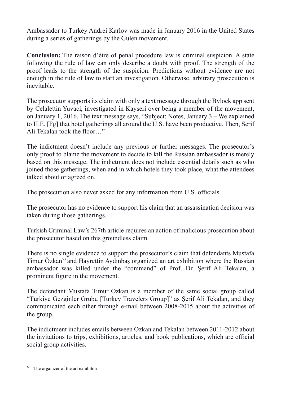Ambassador to Turkey Andrei Karlov was made in January 2016 in the United States during a series of gatherings by the Gulen movement.

**Conclusion:** The raison d'étre of penal procedure law is criminal suspicion. A state following the rule of law can only describe a doubt with proof. The strength of the proof leads to the strength of the suspicion. Predictions without evidence are not enough in the rule of law to start an investigation. Otherwise, arbitrary prosecution is inevitable.

The prosecutor supports its claim with only a text message through the Bylock app sent by Celalettin Yuvaci, investigated in Kayseri over being a member of the movement, on January 1, 2016. The text message says, "Subject: Notes, January 3 – We explained to H.E. [Fg] that hotel gatherings all around the U.S. have been productive. Then, Serif Ali Tekalan took the floor…"

The indictment doesn't include any previous or further messages. The prosecutor's only proof to blame the movement to decide to kill the Russian ambassador is merely based on this message. The indictment does not include essential details such as who joined those gatherings, when and in which hotels they took place, what the attendees talked about or agreed on.

The prosecution also never asked for any information from U.S. officials.

The prosecutor has no evidence to support his claim that an assassination decision was taken during those gatherings.

Turkish Criminal Law's 267th article requires an action of malicious prosecution about the prosecutor based on this groundless claim.

There is no single evidence to support the prosecutor's claim that defendants Mustafa Timur Özkan<sup>53</sup> and Hayrettin Aydınbas organized an art exhibition where the Russian ambassador was killed under the "command" of Prof. Dr. Şerif Ali Tekalan, a prominent figure in the movement.

The defendant Mustafa Timur Özkan is a member of the same social group called "Türkiye Gezginler Grubu [Turkey Travelers Group]" as Şerif Ali Tekalan, and they communicated each other through e-mail between 2008-2015 about the activities of the group.

The indictment includes emails between Ozkan and Tekalan between 2011-2012 about the invitations to trips, exhibitions, articles, and book publications, which are official social group activities.

<sup>&</sup>lt;sup>53</sup> The organizer of the art exhibiton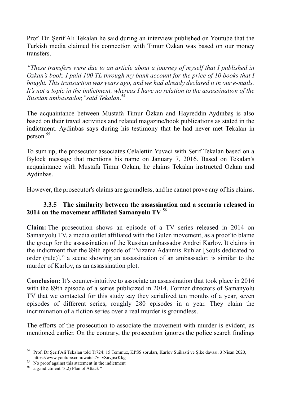Prof. Dr. Şerif Ali Tekalan he said during an interview published on Youtube that the Turkish media claimed his connection with Timur Ozkan was based on our money transfers.

*"These transfers were due to an article about a journey of myself that I published in Ozkan's book. I paid 100 TL through my bank account for the price of 10 books that I bought. This transaction was years ago, and we had already declared it in our e-mails. It's not a topic in the indictment, whereas I have no relation to the assassination of the Russian ambassador,"said Tekalan*. 54

The acquaintance between Mustafa Timur Özkan and Hayreddin Aydınbaş is also based on their travel activities and related magazine/book publications as stated in the indictment. Aydinbas says during his testimony that he had never met Tekalan in person.<sup>55</sup>

To sum up, the prosecutor associates Celalettin Yuvaci with Serif Tekalan based on a Bylock message that mentions his name on January 7, 2016. Based on Tekalan's acquaintance with Mustafa Timur Ozkan, he claims Tekalan instructed Ozkan and Aydinbas.

However, the prosecutor's claims are groundless, and he cannot prove any of his claims.

#### **3.3.5 The similarity between the assassination and a scenario released in 2014 on the movement affiliated Samanyolu TV <sup>56</sup>**

**Claim:** The prosecution shows an episode of a TV series released in 2014 on Samanyolu TV, a media outlet affiliated with the Gulen movement, as a proof to blame the group for the assassination of the Russian ambassador Andrei Karlov. It claims in the indictment that the 89th episode of "Nizama Adanmis Ruhlar [Souls dedicated to order (rule)]," a scene showing an assassination of an ambassador, is similar to the murder of Karlov, as an assassination plot.

**Conclusion:** It's counter-intuitive to associate an assassination that took place in 2016 with the 89th episode of a series publicized in 2014. Former directors of Samanyolu TV that we contacted for this study say they serialized ten months of a year, seven episodes of different series, roughly 280 episodes in a year. They claim the incrimination of a fiction series over a real murder is groundless.

The efforts of the prosecution to associate the movement with murder is evident, as mentioned earlier. On the contrary, the prosecution ignores the police search findings

 <sup>54</sup> Prof. Dr Şerif Ali Tekalan told Tr724: 15 Temmuz, KPSS soruları, Karlov Suikasti ve Şike davası, 3 Nisan 2020,

https://www.youtube.com/watch?v=vSnvjisrKkg<br>
<sup>55</sup> No proof against this statement in the indictment<br>
<sup>56</sup> a.g.indictment ''3.2) Plan of Attack ''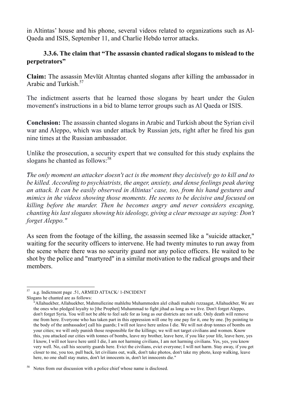in Altintas' house and his phone, several videos related to organizations such as Al-Qaeda and ISIS, September 11, and Charlie Hebdo terror attacks.

#### **3.3.6. The claim that "The assassin chanted radical slogans to mislead to the perpetrators"**

**Claim:** The assassin Mevlüt Altıntaş chanted slogans after killing the ambassador in Arabic and Turkish<sup>57</sup>

The indictment asserts that he learned those slogans by heart under the Gulen movement's instructions in a bid to blame terror groups such as Al Qaeda or ISIS.

**Conclusion:** The assassin chanted slogans in Arabic and Turkish about the Syrian civil war and Aleppo, which was under attack by Russian jets, right after he fired his gun nine times at the Russian ambassador.

Unlike the prosecution, a security expert that we consulted for this study explains the slogans he chanted as follows: 58

*"The only moment an attacker doesn't act is the moment they decisively go to kill and to be killed. According to psychiatrists, the anger, anxiety, and dense feelings peak during an attack. It can be easily observed in Altintas' case, too, from his hand gestures and mimics in the videos showing those moments. He seems to be decisive and focused on killing before the murder. Then he becomes angry and never considers escaping, chanting his last slogans showing his ideology, giving a clear message as saying: Don't forget Aleppo."*

As seen from the footage of the killing, the assassin seemed like a "suicide attacker," waiting for the security officers to intervene. He had twenty minutes to run away from the scene where there was no security guard nor any police officers. He waited to be shot by the police and "martyred" in a similar motivation to the radical groups and their members.

 <sup>57</sup> a.g. Indictment page .51, ARMED ATTACK/ 1-INCIDENT

Slogans he chanted are as follows:

<sup>&</sup>quot;Allahuekber, Allahuekber, Mahmullezine mahlehu Muhammeden alel cihadi mahahi rızzaagat, Allahuekber, We are the ones who pledged loyalty to [the Prophet] Muhammad to fight jihad as long as we live. Don't forget Aleppo, don't forget Syria. You will not be able to feel safe for as long as our districts are not safe. Only death will remove me from here. Everyone who has taken part in this oppression will one by one pay for it, one by one. [by pointing to the body of the ambassador] call his guards; I will not leave here unless I die. We will not drop tonnes of bombs on your cities; we will only punish those responsible for the killings; we will not target civilians and women. Know this, you attacked our cities with tonnes of bombs, leave my brother, leave here, if you like your life, leave here, yes I know, I will not leave here until I die, I am not harming civilians, I am not harming civilians. Yes, yes, you know very well. No, call his security guards here. Evict the civilians, evict everyone; I will not harm. Stay away, if you get closer to me, you too, pull back, let civilians out, walk, don't take photos, don't take my photo, keep walking, leave here, no one shall stay mates, don't let innocents in, don't let innocents die."

<sup>&</sup>lt;sup>58</sup> Notes from our discussion with a police chief whose name is disclosed.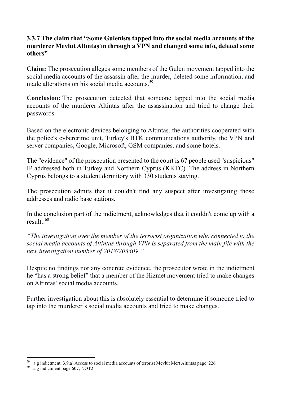#### **3.3.7 The claim that "Some Gulenists tapped into the social media accounts of the murderer Mevlüt Altıntaş'ın through a VPN and changed some info, deleted some others"**

**Claim:** The prosecution alleges some members of the Gulen movement tapped into the social media accounts of the assassin after the murder, deleted some information, and made alterations on his social media accounts.<sup>59</sup>

**Conclusion:** The prosecution detected that someone tapped into the social media accounts of the murderer Altintas after the assassination and tried to change their passwords.

Based on the electronic devices belonging to Altintas, the authorities cooperated with the police's cybercrime unit, Turkey's BTK communications authority, the VPN and server companies, Google, Microsoft, GSM companies, and some hotels.

The "evidence" of the prosecution presented to the court is 67 people used "suspicious" IP addressed both in Turkey and Northern Cyprus (KKTC). The address in Northern Cyprus belongs to a student dormitory with 330 students staying.

The prosecution admits that it couldn't find any suspect after investigating those addresses and radio base stations.

In the conclusion part of the indictment, acknowledges that it couldn't come up with a result  $.60$ 

*"The investigation over the member of the terrorist organization who connected to the social media accounts of Altintas through VPN is separated from the main file with the new investigation number of 2018/203309."*

Despite no findings nor any concrete evidence, the prosecutor wrote in the indictment he "has a strong belief" that a member of the Hizmet movement tried to make changes on Altintas' social media accounts.

Further investigation about this is absolutely essential to determine if someone tried to tap into the murderer's social media accounts and tried to make changes.

 $^{59}$  a.g indictment, 3.9.a) Access to social media accounts of terorist Mevlüt Mert Altıntaş page 226 a.g indictment page 607, NOT2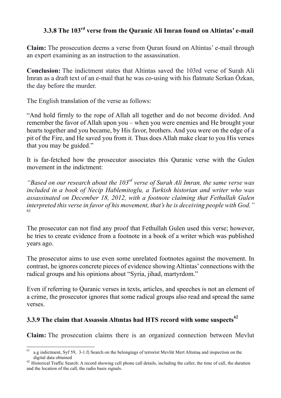# **3.3.8 The 103rd verse from the Quranic Ali Imran found on Altintas' e-mail**

**Claim:** The prosecution deems a verse from Quran found on Altintas' e-mail through an expert examining as an instruction to the assassination.

**Conclusion:** The indictment states that Altintas saved the 103rd verse of Surah Ali Imran as a draft text of an e-mail that he was co-using with his flatmate Serkan Özkan, the day before the murder.

The English translation of the verse as follows:

"And hold firmly to the rope of Allah all together and do not become divided. And remember the favor of Allah upon you – when you were enemies and He brought your hearts together and you became, by His favor, brothers. And you were on the edge of a pit of the Fire, and He saved you from it. Thus does Allah make clear to you His verses that you may be guided."

It is far-fetched how the prosecutor associates this Quranic verse with the Gulen movement in the indictment:

*"Based on our research about the 103rd verse of Surah Ali Imran, the same verse was included in a book of Necip Hablemitoglu, a Turkish historian and writer who was assassinated on December 18, 2012, with a footnote claiming that Fethullah Gulen interpreted this verse in favor of his movement, that's he is deceiving people with God."* 61

The prosecutor can not find any proof that Fethullah Gulen used this verse; however, he tries to create evidence from a footnote in a book of a writer which was published years ago.

The prosecutor aims to use even some unrelated footnotes against the movement. In contrast, he ignores concrete pieces of evidence showing Altintas' connections with the radical groups and his opinions about "Syria, jihad, martyrdom."

Even if referring to Quranic verses in texts, articles, and speeches is not an element of a crime, the prosecutor ignores that some radical groups also read and spread the same verses.

# **3.3.9 The claim that Assassin Altıntas had HTS record with some suspects<sup>62</sup>**

**Claim:** The prosecution claims there is an organized connection between Mevlut

 $61$  a.g indictment, Syf 59, 3-1.f) Search on the belongings of terrorist Mevlüt Mert Altıntaş and inspection on the digital data obtained  $\frac{62}{1}$  Historical Traffic Search: A record showing cell phone call details, including the caller, the time of call, the duration

and the location of the call, the radio basis signals.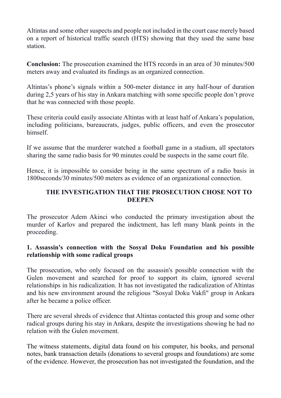Altintas and some other suspects and people not included in the court case merely based on a report of historical traffic search (HTS) showing that they used the same base station.

**Conclusion:** The prosecution examined the HTS records in an area of 30 minutes/500 meters away and evaluated its findings as an organized connection.

Altintas's phone's signals within a 500-meter distance in any half-hour of duration during 2,5 years of his stay in Ankara matching with some specific people don't prove that he was connected with those people.

These criteria could easily associate Altintas with at least half of Ankara's population, including politicians, bureaucrats, judges, public officers, and even the prosecutor himself.

If we assume that the murderer watched a football game in a stadium, all spectators sharing the same radio basis for 90 minutes could be suspects in the same court file.

Hence, it is impossible to consider being in the same spectrum of a radio basis in 1800seconds/30 minutes/500 meters as evidence of an organizational connection.

#### **THE INVESTIGATION THAT THE PROSECUTION CHOSE NOT TO DEEPEN**

The prosecutor Adem Akinci who conducted the primary investigation about the murder of Karlov and prepared the indictment, has left many blank points in the proceeding.

#### **1. Assassin's connection with the Sosyal Doku Foundation and his possible relationship with some radical groups**

The prosecution, who only focused on the assassin's possible connection with the Gulen movement and searched for proof to support its claim, ignored several relationships in his radicalization. It has not investigated the radicalization of Altintas and his new environment around the religious "Sosyal Doku Vakfi" group in Ankara after he became a police officer.

There are several shreds of evidence that Altintas contacted this group and some other radical groups during his stay in Ankara, despite the investigations showing he had no relation with the Gulen movement.

The witness statements, digital data found on his computer, his books, and personal notes, bank transaction details (donations to several groups and foundations) are some of the evidence. However, the prosecution has not investigated the foundation, and the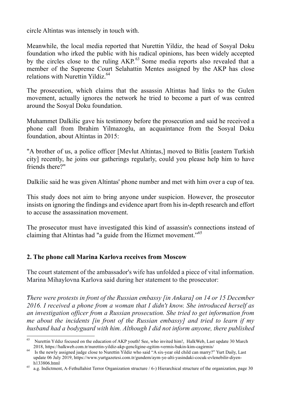circle Altintas was intensely in touch with.

Meanwhile, the local media reported that Nurettin Yildiz, the head of Sosyal Doku foundation who irked the public with his radical opinions, has been widely accepted by the circles close to the ruling AKP.<sup>63</sup> Some media reports also revealed that a member of the Supreme Court Selahattin Mentes assigned by the AKP has close relations with Nurettin Yildiz.<sup>64</sup>

The prosecution, which claims that the assassin Altintas had links to the Gulen movement, actually ignores the network he tried to become a part of was centred around the Sosyal Doku foundation.

Muhammet Dalkilic gave his testimony before the prosecution and said he received a phone call from Ibrahim Yilmazoglu, an acquaintance from the Sosyal Doku foundation, about Altintas in 2015:

"A brother of us, a police officer [Mevlut Altintas,] moved to Bitlis [eastern Turkish city] recently, he joins our gatherings regularly, could you please help him to have friends there?"

Dalkilic said he was given Altintas' phone number and met with him over a cup of tea.

This study does not aim to bring anyone under suspicion. However, the prosecutor insists on ignoring the findings and evidence apart from his in-depth research and effort to accuse the assassination movement.

The prosecutor must have investigated this kind of assassin's connections instead of claiming that Altintas had "a guide from the Hizmet movement."<sup>65</sup>

### **2. The phone call Marina Karlova receives from Moscow**

The court statement of the ambassador's wife has unfolded a piece of vital information. Marina Mihaylovna Karlova said during her statement to the prosecutor:

*"There were protests in front of the Russian embassy [in Ankara] on 14 or 15 December 2016. I received a phone from a woman that I didn't know. She introduced herself as an investigation officer from a Russian prosecution. She tried to get information from me about the incidents [in front of the Russian embassy] and tried to learn if my husband had a bodyguard with him. Although I did not inform anyone, there published* 

<sup>&</sup>lt;sup>63</sup> Nurettin Yıldız focused on the education of AKP youth! See, who invited him!, HalkWeb, Last update 30 March

<sup>2018,</sup> https://halkweb.com.tr/nurettin-yildiz-akp-gencligine-egitim-vermis-bakin-kim-cagirmis/<br><sup>64</sup> Is the newly assigned judge close to Nurettin Yildiz who said "A six-year old child can marry?" Yurt Daily, Last update 06 July 2019, https://www.yurtgazetesi.com.tr/gundem/aym-ye-alti-yasindaki-cocuk-evlenebilir-diyen-

h133806.html a.g. Indictment, A-Fethullahist Terror Organization structure / 6-) Hierarchical structure of the organization, page 30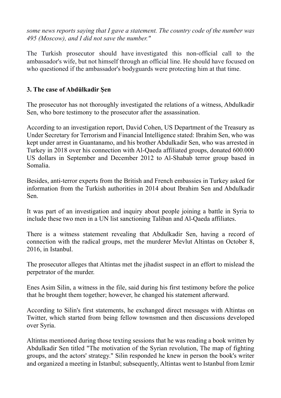*some news reports saying that I gave a statement. The country code of the number was 495 (Moscow), and I did not save the number."*

The Turkish prosecutor should have investigated this non-official call to the ambassador's wife, but not himself through an official line. He should have focused on who questioned if the ambassador's bodyguards were protecting him at that time.

### **3. The case of Abdülkadir Şen**

The prosecutor has not thoroughly investigated the relations of a witness, Abdulkadir Sen, who bore testimony to the prosecutor after the assassination.

According to an investigation report, David Cohen, US Department of the Treasury as Under Secretary for Terrorism and Financial Intelligence stated: Ibrahim Sen, who was kept under arrest in Guantanamo, and his brother Abdulkadir Sen, who was arrested in Turkey in 2018 over his connection with Al-Qaeda affiliated groups, donated 600.000 US dollars in September and December 2012 to Al-Shabab terror group based in Somalia.

Besides, anti-terror experts from the British and French embassies in Turkey asked for information from the Turkish authorities in 2014 about Ibrahim Sen and Abdulkadir Sen.

It was part of an investigation and inquiry about people joining a battle in Syria to include these two men in a UN list sanctioning Taliban and Al-Qaeda affiliates.

There is a witness statement revealing that Abdulkadir Sen, having a record of connection with the radical groups, met the murderer Mevlut Altintas on October 8, 2016, in Istanbul.

The prosecutor alleges that Altintas met the jihadist suspect in an effort to mislead the perpetrator of the murder.

Enes Asim Silin, a witness in the file, said during his first testimony before the police that he brought them together; however, he changed his statement afterward.

According to Silin's first statements, he exchanged direct messages with Altintas on Twitter, which started from being fellow townsmen and then discussions developed over Syria.

Altintas mentioned during those texting sessions that he was reading a book written by Abdulkadir Sen titled "The motivation of the Syrian revolution, The map of fighting groups, and the actors' strategy." Silin responded he knew in person the book's writer and organized a meeting in Istanbul; subsequently, Altintas went to Istanbul from Izmir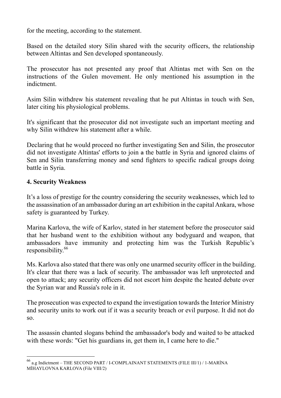for the meeting, according to the statement.

Based on the detailed story Silin shared with the security officers, the relationship between Altintas and Sen developed spontaneously.

The prosecutor has not presented any proof that Altintas met with Sen on the instructions of the Gulen movement. He only mentioned his assumption in the indictment.

Asim Silin withdrew his statement revealing that he put Altintas in touch with Sen, later citing his physiological problems.

It's significant that the prosecutor did not investigate such an important meeting and why Silin withdrew his statement after a while.

Declaring that he would proceed no further investigating Sen and Silin, the prosecutor did not investigate Altintas' efforts to join a the battle in Syria and ignored claims of Sen and Silin transferring money and send fighters to specific radical groups doing battle in Syria.

#### **4. Security Weakness**

It's a loss of prestige for the country considering the security weaknesses, which led to the assassination of an ambassador during an art exhibition in the capital Ankara, whose safety is guaranteed by Turkey.

Marina Karlova, the wife of Karlov, stated in her statement before the prosecutor said that her husband went to the exhibition without any bodyguard and weapon, that ambassadors have immunity and protecting him was the Turkish Republic's responsibility.<sup>66</sup>

Ms. Karlova also stated that there was only one unarmed security officer in the building. It's clear that there was a lack of security. The ambassador was left unprotected and open to attack; any security officers did not escort him despite the heated debate over the Syrian war and Russia's role in it.

The prosecution was expected to expand the investigation towards the Interior Ministry and security units to work out if it was a security breach or evil purpose. It did not do so.

The assassin chanted slogans behind the ambassador's body and waited to be attacked with these words: "Get his guardians in, get them in, I came here to die."

 <sup>66</sup> a.g Indictment – THE SECOND PART / I-COMPLAINANT STATEMENTS (FILE III/1) / 1-MARİNA MİHAYLOVNA KARLOVA (File VIII/2)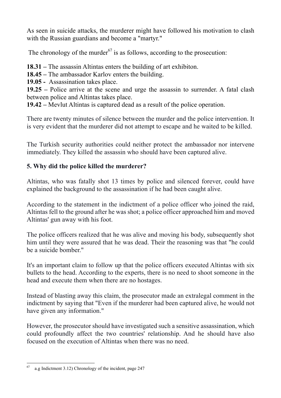As seen in suicide attacks, the murderer might have followed his motivation to clash with the Russian guardians and become a "martyr."

The chronology of the murder $67$  is as follows, according to the prosecution:

**18.31 –** The assassin Altintas enters the building of art exhibiton.

**18.45 –** The ambassador Karlov enters the building.

**19.05 -** Assassination takes place.

**19.25 –** Police arrive at the scene and urge the assassin to surrender. A fatal clash between police and Altintas takes place.

**19.42 –** Mevlut Altintas is captured dead as a result of the police operation.

There are twenty minutes of silence between the murder and the police intervention. It is very evident that the murderer did not attempt to escape and he waited to be killed.

The Turkish security authorities could neither protect the ambassador nor intervene immediately. They killed the assassin who should have been captured alive.

## **5. Why did the police killed the murderer?**

Altintas, who was fatally shot 13 times by police and silenced forever, could have explained the background to the assassination if he had been caught alive.

According to the statement in the indictment of a police officer who joined the raid, Altintas fell to the ground after he was shot; a police officer approached him and moved Altintas' gun away with his foot.

The police officers realized that he was alive and moving his body, subsequently shot him until they were assured that he was dead. Their the reasoning was that "he could be a suicide bomber."

It's an important claim to follow up that the police officers executed Altintas with six bullets to the head. According to the experts, there is no need to shoot someone in the head and execute them when there are no hostages.

Instead of blasting away this claim, the prosecutor made an extralegal comment in the indictment by saying that "Even if the murderer had been captured alive, he would not have given any information."

However, the prosecutor should have investigated such a sensitive assassination, which could profoundly affect the two countries' relationship. And he should have also focused on the execution of Altintas when there was no need.

 $67$  a.g Indictment 3.12) Chronology of the incident, page 247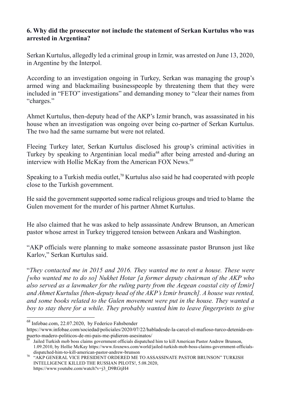#### **6. Why did the prosecutor not include the statement of Serkan Kurtulus who was arrested in Argentina?**

Serkan Kurtulus, allegedly led a criminal group in Izmir, was arrested on June 13, 2020, in Argentine by the Interpol.

According to an investigation ongoing in Turkey, Serkan was managing the group's armed wing and blackmailing businesspeople by threatening them that they were included in "FETO" investigations" and demanding money to "clear their names from "charges."

Ahmet Kurtulus, then-deputy head of the AKP's Izmir branch, was assassinated in his house when an investigation was ongoing over being co-partner of Serkan Kurtulus. The two had the same surname but were not related.

Fleeing Turkey later, Serkan Kurtulus disclosed his group's criminal activities in Turkey by speaking to Argentinian local media<sup>68</sup> after being arrested and-during an interview with Hollie McKay from the American FOX News.<sup>69</sup>

Speaking to a Turkish media outlet,<sup>70</sup> Kurtulus also said he had cooperated with people close to the Turkish government.

He said the government supported some radical religious groups and tried to blame the Gulen movement for the murder of his partner Ahmet Kurtulus.

He also claimed that he was asked to help assassinate Andrew Brunson, an American pastor whose arrest in Turkey triggered tension between Ankara and Washington.

"AKP officials were planning to make someone assassinate pastor Brunson just like Karlov," Serkan Kurtulus said.

"*They contacted me in 2015 and 2016. They wanted me to rent a house. These were [who wanted me to do so] Nukhet Hotar [a former deputy chairman of the AKP who also served as a lawmaker for the ruling party from the Aegean coastal city of*  $\overline{\text{Zmir}}$ *and Ahmet Kurtulus [then-deputy head of the AKP's Izmir branch]. A house was rented, and some books related to the Gulen movement were put in the house. They wanted a boy to stay there for a while. They probably wanted him to leave fingerprints to give* 

 <sup>68</sup> Infobae.com, 22.07.2020, by Federico Fahsbender

https://www.infobae.com/sociedad/policiales/2020/07/22/habladesde-la-carcel-el-mafioso-turco-detenido-enpuerto-madero-politicos-de-mi-pais-me-pidieron-asesinatos/<br><sup>69</sup> Jailed Turkish mob boss claims government officials dispatched him to kill American Pastor Andrew Brunson,

<sup>1.09.2010,</sup> by Hollie McKay https://www.foxnews.com/world/jailed-turkish-mob-boss-claims-government-officials-

dispatched-him-to-kill-american-pastor-andrew-brunson  $^{70}$   $\,$  "AKP GENERAL VICE PRESIDENT ORDERED ME TO ASSASSINATE PASTOR BRUNSON" TURKISH INTELLIGENCE KILLED THE RUSSIAN PILOTS!, 5.08.2020, https://www.youtube.com/watch?v=j3\_D9RGtjH4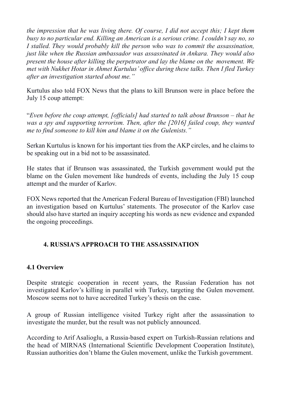*the impression that he was living there. Of course, I did not accept this; I kept them busy to no particular end. Killing an American is a serious crime. I couldn't say no, so I stalled. They would probably kill the person who was to commit the assassination, just like when the Russian ambassador was assassinated in Ankara. They would also present the house after killing the perpetrator and lay the blame on the movement. We met with Nukhet Hotar in Ahmet Kurtulus' office during these talks. Then I fled Turkey after an investigation started about me."*

Kurtulus also told FOX News that the plans to kill Brunson were in place before the July 15 coup attempt:

"*Even before the coup attempt, [officials] had started to talk about Brunson – that he was a spy and supporting terrorism. Then, after the [2016] failed coup, they wanted me to find someone to kill him and blame it on the Gulenists."*

Serkan Kurtulus is known for his important ties from the AKP circles, and he claims to be speaking out in a bid not to be assassinated.

He states that if Brunson was assassinated, the Turkish government would put the blame on the Gulen movement like hundreds of events, including the July 15 coup attempt and the murder of Karlov.

FOX News reported that the American Federal Bureau of Investigation (FBI) launched an investigation based on Kurtulus' statements. The prosecutor of the Karlov case should also have started an inquiry accepting his words as new evidence and expanded the ongoing proceedings.

### **4. RUSSIA'S APPROACH TO THE ASSASSINATION**

### **4.1 Overview**

Despite strategic cooperation in recent years, the Russian Federation has not investigated Karlov's killing in parallel with Turkey, targeting the Gulen movement. Moscow seems not to have accredited Turkey's thesis on the case.

A group of Russian intelligence visited Turkey right after the assassination to investigate the murder, but the result was not publicly announced.

According to Arif Asalioglu, a Russia-based expert on Turkish-Russian relations and the head of MIRNAS (International Scientific Development Cooperation Institute), Russian authorities don't blame the Gulen movement, unlike the Turkish government.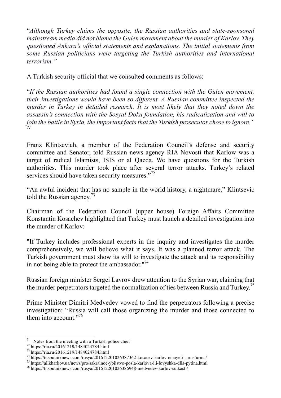"*Although Turkey claims the opposite, the Russian authorities and state-sponsored mainstream media did not blame the Gulen movement about the murder of Karlov. They questioned Ankara's official statements and explanations. The initial statements from some Russian politicians were targeting the Turkish authorities and international terrorism."*

A Turkish security official that we consulted comments as follows:

"*If the Russian authorities had found a single connection with the Gulen movement, their investigations would have been so different. A Russian committee inspected the murder in Turkey in detailed research. It is most likely that they noted down the assassin's connection with the Sosyal Doku foundation, his radicalization and will to join the battle in Syria, the important facts that the Turkish prosecutor chose to ignore." 71*

Franz Klintsevich, a member of the Federation Council's defense and security committee and Senator, told Russian news agency RIA Novosti that Karlow was a target of radical Islamists, ISIS or al Qaeda. We have questions for the Turkish authorities. This murder took place after several terror attacks. Turkey's related services should have taken security measures."<sup>72</sup>

"An awful incident that has no sample in the world history, a nightmare," Klintsevic told the Russian agency.<sup>73</sup>

Chairman of the Federation Council (upper house) Foreign Affairs Committee Konstantin Kosachev highlighted that Turkey must launch a detailed investigation into the murder of Karlov:

"If Turkey includes professional experts in the inquiry and investigates the murder comprehensively, we will believe what it says. It was a planned terror attack. The Turkish government must show its will to investigate the attack and its responsibility in not being able to protect the ambassador."<sup>74</sup>

Russian foreign minister Sergei Lavrov drew attention to the Syrian war, claiming that the murder perpetrators targeted the normalization of ties between Russia and Turkey.<sup>75</sup>

Prime Minister Dimitri Medvedev vowed to find the perpetrators following a precise investigation: "Russia will call those organizing the murder and those connected to them into account."<sup>76</sup>

<sup>&</sup>lt;sup>71</sup> Notes from the meeting with a Turkish police chief<br>
<sup>72</sup> https://ria.ru/20161219/1484024784.html<br>
<sup>73</sup> https://ria.ru/20161219/1484024784.html<br>
<sup>74</sup> https://r.sputniknews.com/rusya/201612201026387362-kosacev-karlov-c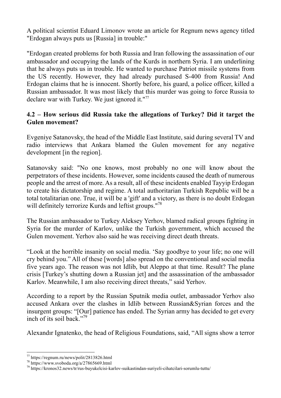A political scientist Eduard Limonov wrote an article for Regnum news agency titled "Erdogan always puts us [Russia] in trouble:"

"Erdogan created problems for both Russia and Iran following the assassination of our ambassador and occupying the lands of the Kurds in northern Syria. I am underlining that he always puts us in trouble. He wanted to purchase Patriot missile systems from the US recently. However, they had already purchased S-400 from Russia! And Erdogan claims that he is innocent. Shortly before, his guard, a police officer, killed a Russian ambassador. It was most likely that this murder was going to force Russia to declare war with Turkey. We just ignored it."77

#### **4.2 – How serious did Russia take the allegations of Turkey? Did it target the Gulen movement?**

Evgeniye Satanovsky, the head of the Middle East Institute, said during several TV and radio interviews that Ankara blamed the Gulen movement for any negative development [in the region].

Satanovsky said: "No one knows, most probably no one will know about the perpetrators of these incidents. However, some incidents caused the death of numerous people and the arrest of more. As a result, all of these incidents enabled Tayyip Erdogan to create his dictatorship and regime. A total authoritarian Turkish Republic will be a total totalitarian one. True, it will be a 'gift' and a victory, as there is no doubt Erdogan will definitely terrorize Kurds and leftist groups."<sup>78</sup>

The Russian ambassador to Turkey Aleksey Yerhov, blamed radical groups fighting in Syria for the murder of Karlov, unlike the Turkish government, which accused the Gulen movement. Yerhov also said he was receiving direct death threats.

"Look at the horrible insanity on social media. 'Say goodbye to your life; no one will cry behind you." All of these [words] also spread on the conventional and social media five years ago. The reason was not Idlib, but Aleppo at that time. Result? The plane crisis [Turkey's shutting down a Russian jet] and the assassination of the ambassador Karlov. Meanwhile, I am also receiving direct threats," said Yerhov.

According to a report by the Russian Sputnik media outlet, ambassador Yerhov also accused Ankara over the clashes in Idlib between Russian&Syrian forces and the insurgent groups: "[Our] patience has ended. The Syrian army has decided to get every inch of its soil back."<sup>79</sup>

Alexandır Ignatenko, the head of Religious Foundations, said, "All signs show a terror

<sup>&</sup>lt;sup>77</sup> https://regnum.ru/news/polit/2813826.html<br><sup>78</sup> https://www.svoboda.org/a/27865669.html<br><sup>79</sup> https://kronos32.news/tr/rus-buyukelcisi-karlov-suikastindan-suriyeli-cihatcilari-sorumlu-tuttu/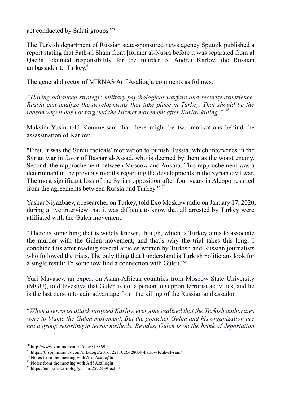act conducted by Salafi groups."80

The Turkish department of Russian state-sponsored news agency Sputnik published a report stating that Fath-al Sham front [former al-Nusra before it was separated from al Qaeda] claimed responsibility for the murder of Andrei Karlov, the Russian ambassador to Turkey.<sup>81</sup>

The general director of MIRNAS Arif Asalioglu comments as follows:

*"Having advanced strategic military psychological warfare and security experience, Russia can analyze the developments that take place in Turkey. That should be the reason why it has not targeted the Hizmet movement after Karlov killing." 82*

Maksim Yusin told Kommersant that there might be two motivations behind the assassination of Karlov:

"First, it was the Sunni radicals' motivation to punish Russia, which intervenes in the Syrian war in favor of Bashar al-Assad, who is deemed by them as the worst enemy. Second, the rapprochement between Moscow and Ankara. This rapprochement was a determinant in the previous months regarding the developments in the Syrian civil war. The most significant loss of the Syrian opposition after four years in Aleppo resulted from the agreements between Russia and Turkey." *<sup>83</sup>*

Yashar Niyazbaev, a researcher on Turkey, told Exo Moskow radio on January 17, 2020, during a live interview that it was difficult to know that all arrested by Turkey were affiliated with the Gulen movement.

"There is something that is widely known, though, which is Turkey aims to associate the murder with the Gulen movement, and that's why the trial takes this long. I conclude this after reading several articles written by Turkish and Russian journalists who followed the trials. The only thing that I understand is Turkish politicians look for a single result: To somehow find a connection with Gulen."84

Yuri Mavasev, an expert on Asian-African countries from Moscow State University (MGU), told Izvestiya that Gulen is not a person to support terrorist activities, and he is the last person to gain advantage from the killing of the Russian ambassador.

"*When a terrorist attack targeted Karlov, everyone realized that the Turkish authorities were to blame the Gulen movement. But the preacher Gulen and his organization are not a group resorting to terror methods. Besides, Gulen is on the brink of deportation* 

<sup>&</sup>lt;sup>80</sup> http://www.kommersant.ru/doc/3175699<br><sup>81</sup> https://tr.sputniknews.com/ortadogu/201612211026428039-karlov-fetih-el-sam/<br><sup>82</sup> Notes from the meeting with Arif Asaloglu<br><sup>83</sup> Notes from the meeting with Arif Asaloglu<br><sup>84</sup>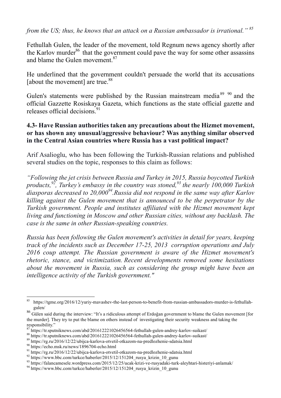*from the US; thus, he knows that an attack on a Russian ambassador is irrational." <sup>85</sup>*

Fethullah Gulen, the leader of the movement, told Regnum news agency shortly after the Karlov murder<sup>86</sup> that the government could pave the way for some other assassins and blame the Gulen movement.<sup>87</sup>

He underlined that the government couldn't persuade the world that its accusations [about the movement] are true.<sup>88</sup>

Gulen's statements were published by the Russian mainstream media <sup>89</sup> <sup>90</sup> and the official Gazzette Rosiskaya Gazeta, which functions as the state official gazette and releases official decisions $^{91}$ 

#### **4.3- Have Russian authorities taken any precautions about the Hizmet movement, or has shown any unusual/aggressive behaviour? Was anything similar observed in the Central Asian countries where Russia has a vast political impact?**

Arif Asalioglu, who has been following the Turkish-Russian relations and published several studies on the topic, responses to this claim as follows:

*"Following the jet crisis between Russia and Turkey in 2015, Russia boycotted Turkish products,92, Turkey's embassy in the country was stoned,93 the nearly 100,000 Turkish diasporas decreased to 20,00094.Russia did not respond in the same way after Karlov killing against the Gulen movement that is announced to be the perpetrator by the Turkish government. People and institutes affiliated with the Hizmet movement kept living and functioning in Moscow and other Russian cities, without any backlash. The case is the same in other Russian-speaking countries.*

*Russia has been following the Gulen movement's activities in detail for years, keeping track of the incidents such as December 17-25, 2013 corruption operations and July 2016 coup attempt. The Russian government is aware of the Hizmet movement's rhetoric, stance, and victimization. Recent developments removed some hesitations about the movement in Russia, such as considering the group might have been an intelligence activity of the Turkish government."*

 <sup>85</sup> https://tgme.org/2016/12/yuriy-mavashev-the-last-person-to-benefit-from-russian-ambassadors-murder-is-fethullahgulen/

<sup>86</sup> Gülen said during the interview: "It's a ridiculous attempt of Erdoğan government to blame the Gulen movement [for the murder]. They try to put the blame on others instead of investigating their security weakness and taking the responsibility."

<sup>&</sup>lt;sup>87</sup> https://tr.sputniknews.com/abd/201612221026456564-fethullah-gulen-andrey-karlov-suikast/<br><sup>88</sup> https://tr.sputniknews.com/abd/201612221026456564-fethullah-gulen-andrey-karlov-suikast/<br><sup>88</sup> https://rg.ru/2016/12/22/ubi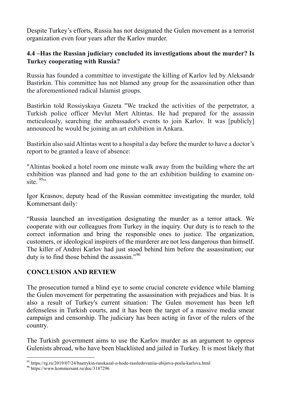Despite Turkey's efforts, Russia has not designated the Gulen movement as a terrorist organization even four years after the Karlov murder.

### **4.4 –Has the Russian judiciary concluded its investigations about the murder? Is Turkey cooperating with Russia?**

Russia has founded a committee to investigate the killing of Karlov led by Aleksandr Bastirkin. This committee has not blamed any group for the assassination other than the aforementioned radical Islamist groups.

Bastirkin told Rossiyskaya Gazeta "We tracked the activities of the perpetrator, a Turkish police officer Mevlut Mert Altintas. He had prepared for the assassin meticulously, searching the ambassador's events to join Karlov. It was [publicly] announced he would be joining an art exhibition in Ankara.

Bastirkin also said Altintas went to a hospital a day before the murder to have a doctor's report to be granted a leave of absence:

"Altintas booked a hotel room one minute walk away from the building where the art exhibition was planned and had gone to the art exhibition building to examine onsite.  $95$ 

Igor Krasnov, deputy head of the Russian committee investigating the murder, told Kommersant daily:

"Russia launched an investigation designating the murder as a terror attack. We cooperate with our colleagues from Turkey in the inquiry. Our duty is to reach to the correct information and bring the responsible ones to justice. The organization, customers, or ideological inspirers of the murderer are not less dangerous than himself. The killer of Andrei Karlov had just stood behind him before the assassination; our duty is to find those behind the assassin."<sup>96</sup>

# **CONCLUSION AND REVIEW**

The prosecution turned a blind eye to some crucial concrete evidence while blaming the Gulen movement for perpetrating the assassination with prejudices and bias. It is also a result of Turkey's current situation: The Gulen movement has been left defenseless in Turkish courts, and it has been the target of a massive media smear campaign and censorship. The judiciary has been acting in favor of the rulers of the country.

The Turkish government aims to use the Karlov murder as an argument to oppress Gulenists abroad, who have been blacklisted and jailed in Turkey. It is most likely that

<sup>95</sup> https://rg.ru/2019/07/24/bastrykin-rasskazal-o-hode-rassledovaniia-ubijstva-posla-karlova.html <sup>96</sup> https://www.kommersant.ru/doc/3187296